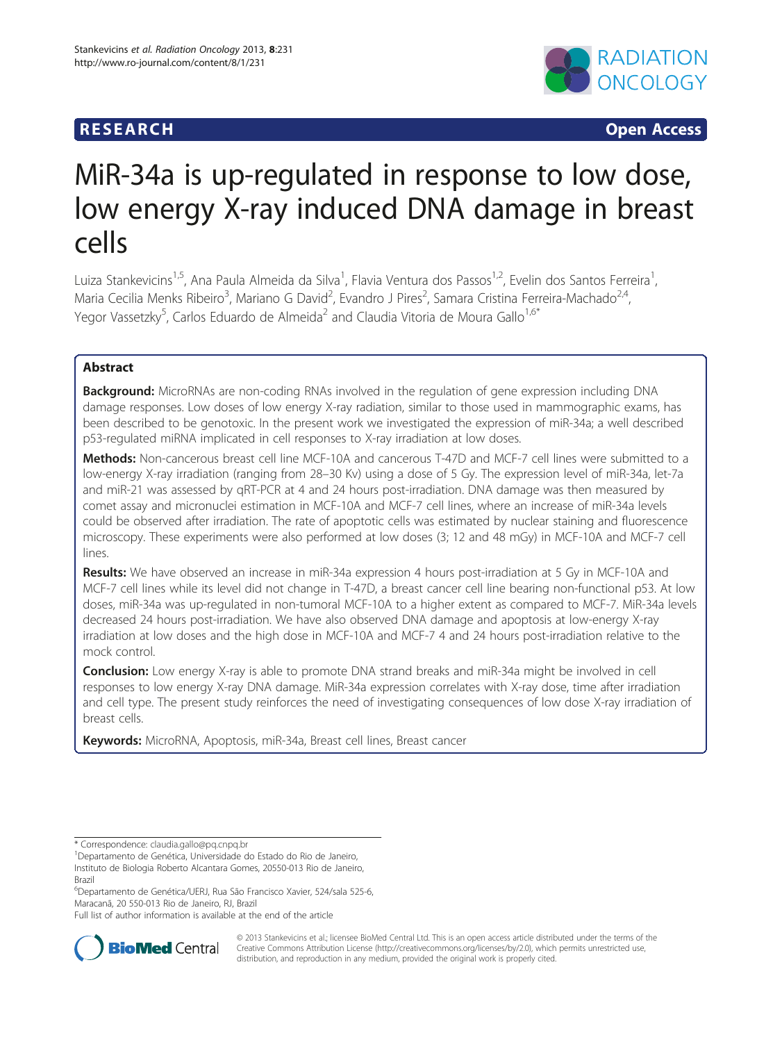# **RESEARCH CHINESEARCH CHINESEARCH**



# MiR-34a is up-regulated in response to low dose, low energy X-ray induced DNA damage in breast cells

Luiza Stankevicins<sup>1,5</sup>, Ana Paula Almeida da Silva<sup>1</sup>, Flavia Ventura dos Passos<sup>1,2</sup>, Evelin dos Santos Ferreira<sup>1</sup> , Maria Cecilia Menks Ribeiro<sup>3</sup>, Mariano G David<sup>2</sup>, Evandro J Pires<sup>2</sup>, Samara Cristina Ferreira-Machado<sup>2,4</sup>, Yegor Vassetzky<sup>5</sup>, Carlos Eduardo de Almeida<sup>2</sup> and Claudia Vitoria de Moura Gallo<sup>1,6\*</sup>

# Abstract

Background: MicroRNAs are non-coding RNAs involved in the regulation of gene expression including DNA damage responses. Low doses of low energy X-ray radiation, similar to those used in mammographic exams, has been described to be genotoxic. In the present work we investigated the expression of miR-34a; a well described p53-regulated miRNA implicated in cell responses to X-ray irradiation at low doses.

Methods: Non-cancerous breast cell line MCF-10A and cancerous T-47D and MCF-7 cell lines were submitted to a low-energy X-ray irradiation (ranging from 28–30 Kv) using a dose of 5 Gy. The expression level of miR-34a, let-7a and miR-21 was assessed by qRT-PCR at 4 and 24 hours post-irradiation. DNA damage was then measured by comet assay and micronuclei estimation in MCF-10A and MCF-7 cell lines, where an increase of miR-34a levels could be observed after irradiation. The rate of apoptotic cells was estimated by nuclear staining and fluorescence microscopy. These experiments were also performed at low doses (3; 12 and 48 mGy) in MCF-10A and MCF-7 cell lines.

Results: We have observed an increase in miR-34a expression 4 hours post-irradiation at 5 Gy in MCF-10A and MCF-7 cell lines while its level did not change in T-47D, a breast cancer cell line bearing non-functional p53. At low doses, miR-34a was up-regulated in non-tumoral MCF-10A to a higher extent as compared to MCF-7. MiR-34a levels decreased 24 hours post-irradiation. We have also observed DNA damage and apoptosis at low-energy X-ray irradiation at low doses and the high dose in MCF-10A and MCF-7 4 and 24 hours post-irradiation relative to the mock control.

Conclusion: Low energy X-ray is able to promote DNA strand breaks and miR-34a might be involved in cell responses to low energy X-ray DNA damage. MiR-34a expression correlates with X-ray dose, time after irradiation and cell type. The present study reinforces the need of investigating consequences of low dose X-ray irradiation of breast cells.

Keywords: MicroRNA, Apoptosis, miR-34a, Breast cell lines, Breast cancer

6 Departamento de Genética/UERJ, Rua São Francisco Xavier, 524/sala 525-6, Maracanã, 20 550-013 Rio de Janeiro, RJ, Brazil

Full list of author information is available at the end of the article



© 2013 Stankevicins et al.; licensee BioMed Central Ltd. This is an open access article distributed under the terms of the Creative Commons Attribution License (<http://creativecommons.org/licenses/by/2.0>), which permits unrestricted use, distribution, and reproduction in any medium, provided the original work is properly cited.

<sup>\*</sup> Correspondence: [claudia.gallo@pq.cnpq.br](mailto:claudia.gallo@pq.cnpq.br) <sup>1</sup>

Departamento de Genética, Universidade do Estado do Rio de Janeiro,

Instituto de Biologia Roberto Alcantara Gomes, 20550-013 Rio de Janeiro, Brazil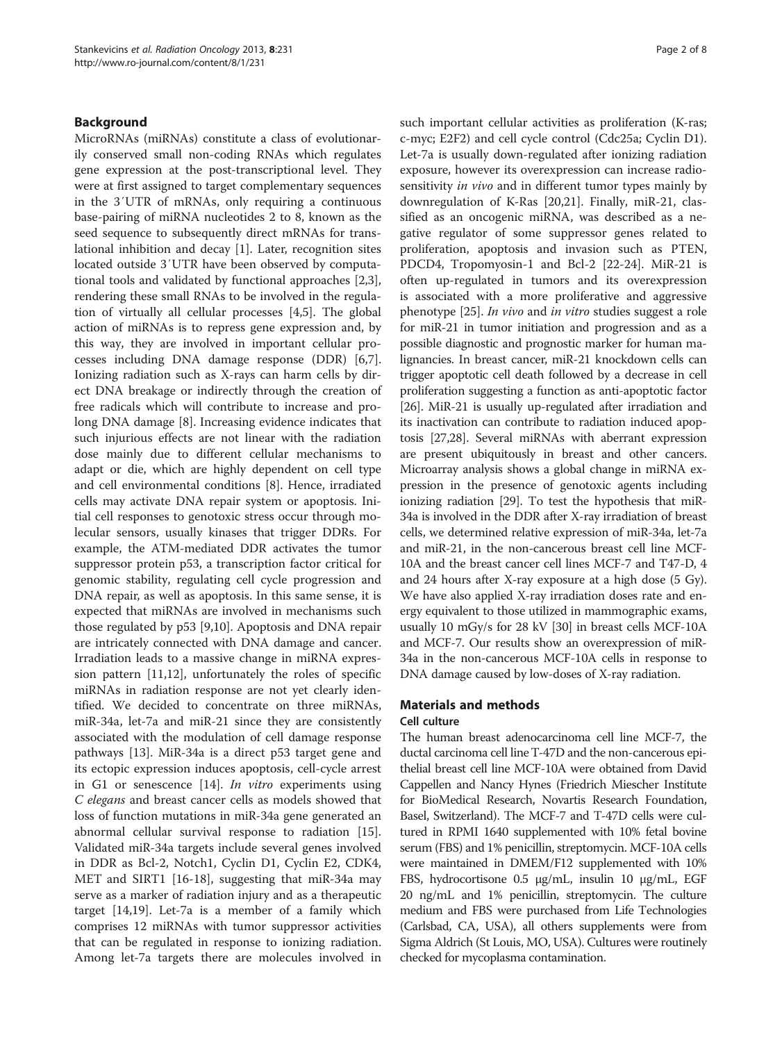# Background

MicroRNAs (miRNAs) constitute a class of evolutionarily conserved small non-coding RNAs which regulates gene expression at the post-transcriptional level. They were at first assigned to target complementary sequences in the 3′UTR of mRNAs, only requiring a continuous base-pairing of miRNA nucleotides 2 to 8, known as the seed sequence to subsequently direct mRNAs for translational inhibition and decay [\[1](#page-6-0)]. Later, recognition sites located outside 3′UTR have been observed by computational tools and validated by functional approaches [\[2,3](#page-6-0)], rendering these small RNAs to be involved in the regulation of virtually all cellular processes [\[4,5](#page-6-0)]. The global action of miRNAs is to repress gene expression and, by this way, they are involved in important cellular processes including DNA damage response (DDR) [\[6,7](#page-6-0)]. Ionizing radiation such as X-rays can harm cells by direct DNA breakage or indirectly through the creation of free radicals which will contribute to increase and prolong DNA damage [\[8](#page-7-0)]. Increasing evidence indicates that such injurious effects are not linear with the radiation dose mainly due to different cellular mechanisms to adapt or die, which are highly dependent on cell type and cell environmental conditions [\[8](#page-7-0)]. Hence, irradiated cells may activate DNA repair system or apoptosis. Initial cell responses to genotoxic stress occur through molecular sensors, usually kinases that trigger DDRs. For example, the ATM-mediated DDR activates the tumor suppressor protein p53, a transcription factor critical for genomic stability, regulating cell cycle progression and DNA repair, as well as apoptosis. In this same sense, it is expected that miRNAs are involved in mechanisms such those regulated by p53 [\[9](#page-7-0),[10](#page-7-0)]. Apoptosis and DNA repair are intricately connected with DNA damage and cancer. Irradiation leads to a massive change in miRNA expression pattern [\[11,12\]](#page-7-0), unfortunately the roles of specific miRNAs in radiation response are not yet clearly identified. We decided to concentrate on three miRNAs, miR-34a, let-7a and miR-21 since they are consistently associated with the modulation of cell damage response pathways [\[13](#page-7-0)]. MiR-34a is a direct p53 target gene and its ectopic expression induces apoptosis, cell-cycle arrest in G1 or senescence [[14\]](#page-7-0). In vitro experiments using C elegans and breast cancer cells as models showed that loss of function mutations in miR-34a gene generated an abnormal cellular survival response to radiation [\[15](#page-7-0)]. Validated miR-34a targets include several genes involved in DDR as Bcl-2, Notch1, Cyclin D1, Cyclin E2, CDK4, MET and SIRT1 [\[16-18](#page-7-0)], suggesting that miR-34a may serve as a marker of radiation injury and as a therapeutic target [[14,19](#page-7-0)]. Let-7a is a member of a family which comprises 12 miRNAs with tumor suppressor activities that can be regulated in response to ionizing radiation. Among let-7a targets there are molecules involved in such important cellular activities as proliferation (K-ras; c-myc; E2F2) and cell cycle control (Cdc25a; Cyclin D1). Let-7a is usually down-regulated after ionizing radiation exposure, however its overexpression can increase radiosensitivity *in vivo* and in different tumor types mainly by downregulation of K-Ras [[20](#page-7-0),[21](#page-7-0)]. Finally, miR-21, classified as an oncogenic miRNA, was described as a negative regulator of some suppressor genes related to proliferation, apoptosis and invasion such as PTEN, PDCD4, Tropomyosin-1 and Bcl-2 [\[22](#page-7-0)-[24](#page-7-0)]. MiR-21 is often up-regulated in tumors and its overexpression is associated with a more proliferative and aggressive phenotype [\[25](#page-7-0)]. In vivo and in vitro studies suggest a role for miR-21 in tumor initiation and progression and as a possible diagnostic and prognostic marker for human malignancies. In breast cancer, miR-21 knockdown cells can trigger apoptotic cell death followed by a decrease in cell proliferation suggesting a function as anti-apoptotic factor [[26](#page-7-0)]. MiR-21 is usually up-regulated after irradiation and its inactivation can contribute to radiation induced apoptosis [[27,28](#page-7-0)]. Several miRNAs with aberrant expression are present ubiquitously in breast and other cancers. Microarray analysis shows a global change in miRNA expression in the presence of genotoxic agents including ionizing radiation [\[29](#page-7-0)]. To test the hypothesis that miR-34a is involved in the DDR after X-ray irradiation of breast cells, we determined relative expression of miR-34a, let-7a and miR-21, in the non-cancerous breast cell line MCF-10A and the breast cancer cell lines MCF-7 and T47-D, 4 and 24 hours after X-ray exposure at a high dose (5 Gy). We have also applied X-ray irradiation doses rate and energy equivalent to those utilized in mammographic exams, usually 10 mGy/s for 28 kV [\[30\]](#page-7-0) in breast cells MCF-10A and MCF-7. Our results show an overexpression of miR-34a in the non-cancerous MCF-10A cells in response to DNA damage caused by low-doses of X-ray radiation.

# Materials and methods

#### Cell culture

The human breast adenocarcinoma cell line MCF-7, the ductal carcinoma cell line T-47D and the non-cancerous epithelial breast cell line MCF-10A were obtained from David Cappellen and Nancy Hynes (Friedrich Miescher Institute for BioMedical Research, Novartis Research Foundation, Basel, Switzerland). The MCF-7 and T-47D cells were cultured in RPMI 1640 supplemented with 10% fetal bovine serum (FBS) and 1% penicillin, streptomycin. MCF-10A cells were maintained in DMEM/F12 supplemented with 10% FBS, hydrocortisone 0.5 μg/mL, insulin 10 μg/mL, EGF 20 ng/mL and 1% penicillin, streptomycin. The culture medium and FBS were purchased from Life Technologies (Carlsbad, CA, USA), all others supplements were from Sigma Aldrich (St Louis, MO, USA). Cultures were routinely checked for mycoplasma contamination.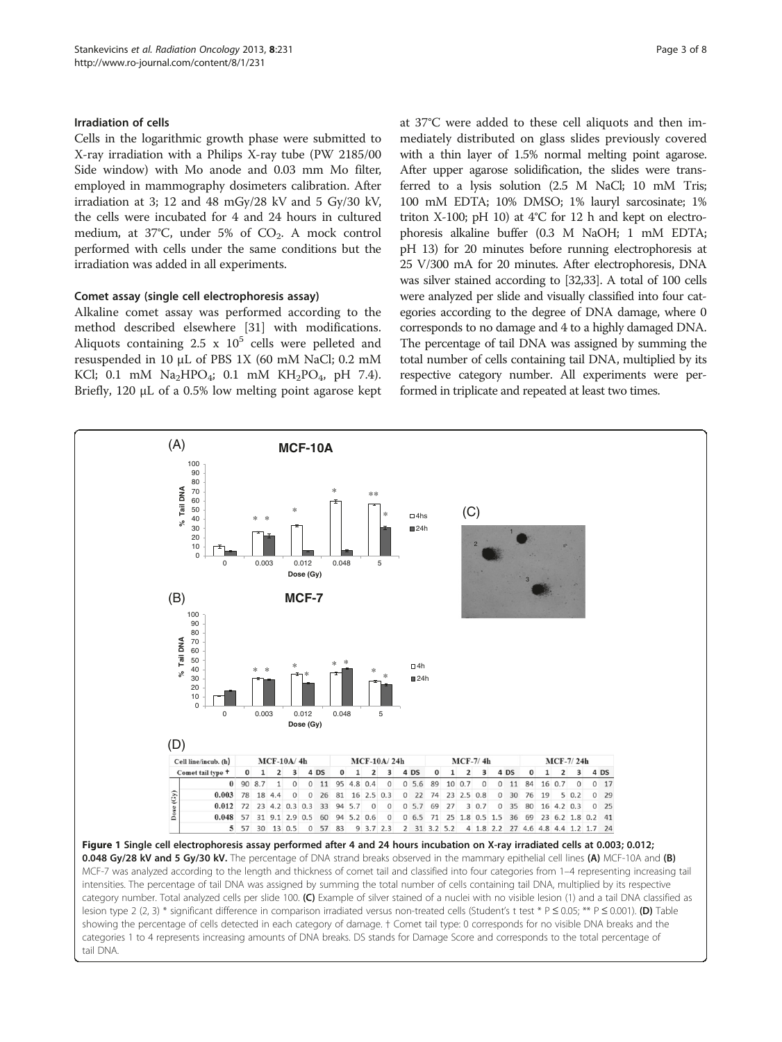# <span id="page-2-0"></span>Irradiation of cells

Cells in the logarithmic growth phase were submitted to X-ray irradiation with a Philips X-ray tube (PW 2185/00 Side window) with Mo anode and 0.03 mm Mo filter, employed in mammography dosimeters calibration. After irradiation at 3; 12 and 48 mGy/28 kV and 5 Gy/30 kV, the cells were incubated for 4 and 24 hours in cultured medium, at 37°C, under 5% of  $CO<sub>2</sub>$ . A mock control performed with cells under the same conditions but the irradiation was added in all experiments.

# Comet assay (single cell electrophoresis assay)

Alkaline comet assay was performed according to the method described elsewhere [\[31](#page-7-0)] with modifications. Aliquots containing 2.5 x  $10^5$  cells were pelleted and resuspended in 10 μL of PBS 1X (60 mM NaCl; 0.2 mM KCl; 0.1 mM  $Na<sub>2</sub>HPO<sub>4</sub>$ ; 0.1 mM  $KH<sub>2</sub>PO<sub>4</sub>$ , pH 7.4). Briefly, 120 μL of a 0.5% low melting point agarose kept at 37°C were added to these cell aliquots and then immediately distributed on glass slides previously covered with a thin layer of 1.5% normal melting point agarose. After upper agarose solidification, the slides were transferred to a lysis solution (2.5 M NaCl; 10 mM Tris; 100 mM EDTA; 10% DMSO; 1% lauryl sarcosinate; 1% triton X-100; pH 10) at 4°C for 12 h and kept on electrophoresis alkaline buffer (0.3 M NaOH; 1 mM EDTA; pH 13) for 20 minutes before running electrophoresis at 25 V/300 mA for 20 minutes. After electrophoresis, DNA was silver stained according to [\[32,33\]](#page-7-0). A total of 100 cells were analyzed per slide and visually classified into four categories according to the degree of DNA damage, where 0 corresponds to no damage and 4 to a highly damaged DNA. The percentage of tail DNA was assigned by summing the total number of cells containing tail DNA, multiplied by its respective category number. All experiments were performed in triplicate and repeated at least two times.

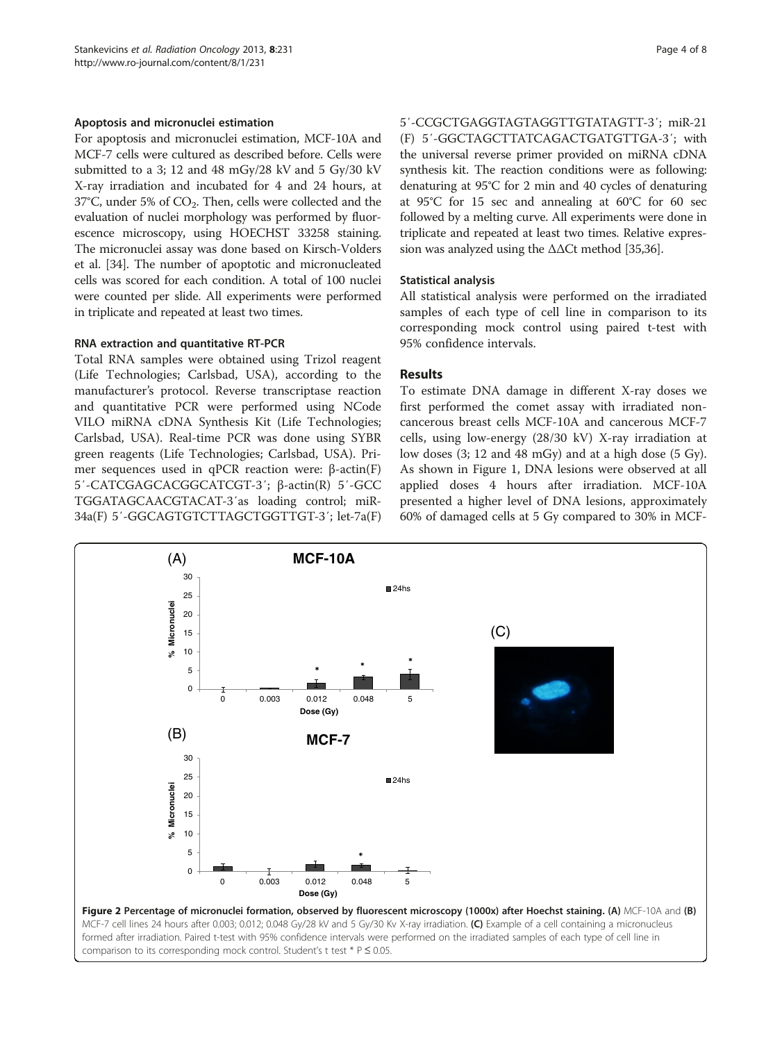# <span id="page-3-0"></span>Apoptosis and micronuclei estimation

For apoptosis and micronuclei estimation, MCF-10A and MCF-7 cells were cultured as described before. Cells were submitted to a 3; 12 and 48 mGy/28 kV and 5 Gy/30 kV X-ray irradiation and incubated for 4 and 24 hours, at  $37^{\circ}$ C, under 5% of CO<sub>2</sub>. Then, cells were collected and the evaluation of nuclei morphology was performed by fluorescence microscopy, using HOECHST 33258 staining. The micronuclei assay was done based on Kirsch-Volders et al. [[34](#page-7-0)]. The number of apoptotic and micronucleated cells was scored for each condition. A total of 100 nuclei were counted per slide. All experiments were performed in triplicate and repeated at least two times.

#### RNA extraction and quantitative RT-PCR

Total RNA samples were obtained using Trizol reagent (Life Technologies; Carlsbad, USA), according to the manufacturer's protocol. Reverse transcriptase reaction and quantitative PCR were performed using NCode VILO miRNA cDNA Synthesis Kit (Life Technologies; Carlsbad, USA). Real-time PCR was done using SYBR green reagents (Life Technologies; Carlsbad, USA). Primer sequences used in qPCR reaction were: β-actin(F) 5′-CATCGAGCACGGCATCGT-3′; β-actin(R) 5′-GCC TGGATAGCAACGTACAT-3′as loading control; miR-34a(F) 5′-GGCAGTGTCTTAGCTGGTTGT-3′; let-7a(F) 5′-CCGCTGAGGTAGTAGGTTGTATAGTT-3′; miR-21 (F) 5′-GGCTAGCTTATCAGACTGATGTTGA-3′; with the universal reverse primer provided on miRNA cDNA synthesis kit. The reaction conditions were as following: denaturing at 95°C for 2 min and 40 cycles of denaturing at 95°C for 15 sec and annealing at 60°C for 60 sec followed by a melting curve. All experiments were done in triplicate and repeated at least two times. Relative expression was analyzed using the ΔΔCt method [\[35,36](#page-7-0)].

# Statistical analysis

All statistical analysis were performed on the irradiated samples of each type of cell line in comparison to its corresponding mock control using paired t-test with 95% confidence intervals.

# Results

To estimate DNA damage in different X-ray doses we first performed the comet assay with irradiated noncancerous breast cells MCF-10A and cancerous MCF-7 cells, using low-energy (28/30 kV) X-ray irradiation at low doses (3; 12 and 48 mGy) and at a high dose (5 Gy). As shown in Figure [1](#page-2-0), DNA lesions were observed at all applied doses 4 hours after irradiation. MCF-10A presented a higher level of DNA lesions, approximately 60% of damaged cells at 5 Gy compared to 30% in MCF-

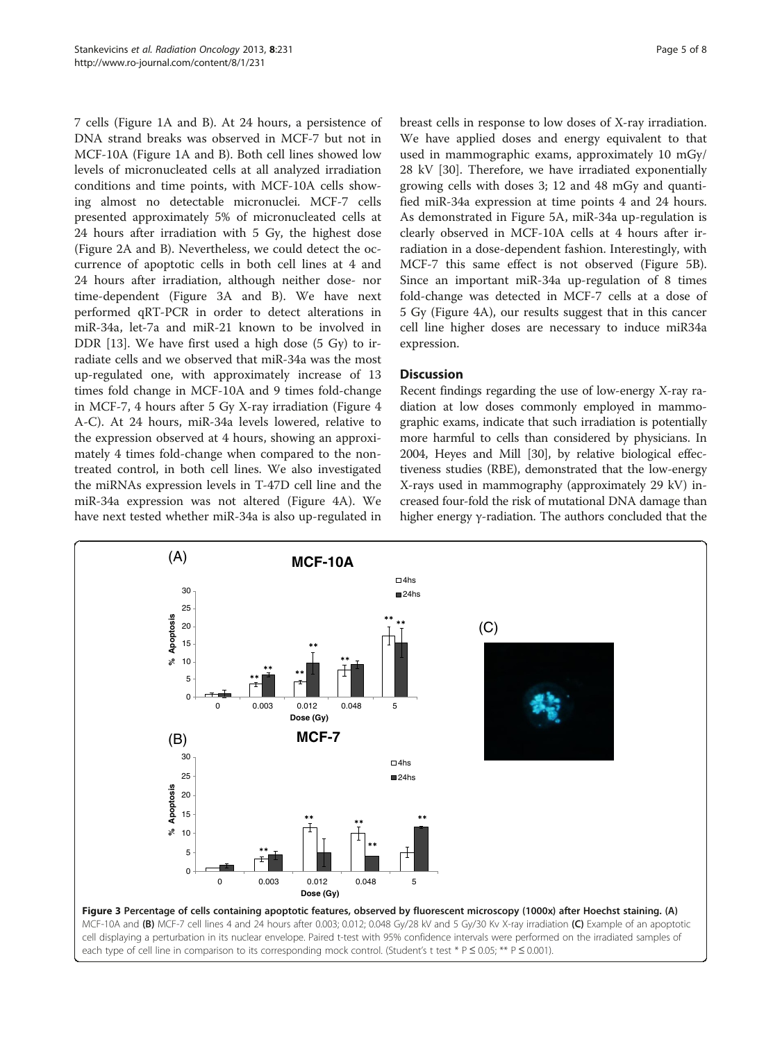7 cells (Figure [1](#page-2-0)A and B). At 24 hours, a persistence of DNA strand breaks was observed in MCF-7 but not in MCF-10A (Figure [1](#page-2-0)A and B). Both cell lines showed low levels of micronucleated cells at all analyzed irradiation conditions and time points, with MCF-10A cells showing almost no detectable micronuclei. MCF-7 cells presented approximately 5% of micronucleated cells at 24 hours after irradiation with 5 Gy, the highest dose (Figure [2A](#page-3-0) and B). Nevertheless, we could detect the occurrence of apoptotic cells in both cell lines at 4 and 24 hours after irradiation, although neither dose- nor time-dependent (Figure 3A and B). We have next performed qRT-PCR in order to detect alterations in miR-34a, let-7a and miR-21 known to be involved in DDR [\[13\]](#page-7-0). We have first used a high dose (5 Gy) to irradiate cells and we observed that miR-34a was the most up-regulated one, with approximately increase of 13 times fold change in MCF-10A and 9 times fold-change in MCF-7, 4 hours after 5 Gy X-ray irradiation (Figure [4](#page-5-0) A-C). At 24 hours, miR-34a levels lowered, relative to the expression observed at 4 hours, showing an approximately 4 times fold-change when compared to the nontreated control, in both cell lines. We also investigated the miRNAs expression levels in T-47D cell line and the miR-34a expression was not altered (Figure [4](#page-5-0)A). We have next tested whether miR-34a is also up-regulated in breast cells in response to low doses of X-ray irradiation. We have applied doses and energy equivalent to that used in mammographic exams, approximately 10 mGy/ 28 kV [\[30](#page-7-0)]. Therefore, we have irradiated exponentially growing cells with doses 3; 12 and 48 mGy and quantified miR-34a expression at time points 4 and 24 hours. As demonstrated in Figure [5](#page-5-0)A, miR-34a up-regulation is clearly observed in MCF-10A cells at 4 hours after irradiation in a dose-dependent fashion. Interestingly, with MCF-7 this same effect is not observed (Figure [5](#page-5-0)B). Since an important miR-34a up-regulation of 8 times fold-change was detected in MCF-7 cells at a dose of 5 Gy (Figure [4A](#page-5-0)), our results suggest that in this cancer cell line higher doses are necessary to induce miR34a expression.

# **Discussion**

Recent findings regarding the use of low-energy X-ray radiation at low doses commonly employed in mammographic exams, indicate that such irradiation is potentially more harmful to cells than considered by physicians. In 2004, Heyes and Mill [[30\]](#page-7-0), by relative biological effectiveness studies (RBE), demonstrated that the low-energy X-rays used in mammography (approximately 29 kV) increased four-fold the risk of mutational DNA damage than higher energy γ-radiation. The authors concluded that the

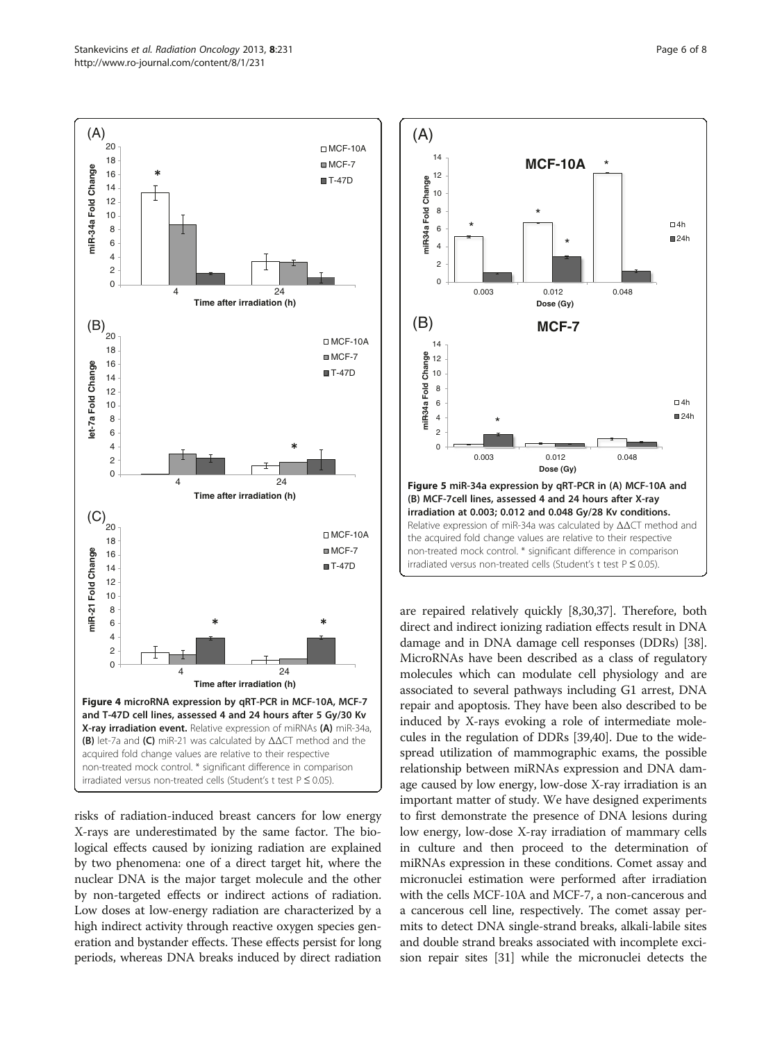<span id="page-5-0"></span>

risks of radiation-induced breast cancers for low energy X-rays are underestimated by the same factor. The biological effects caused by ionizing radiation are explained by two phenomena: one of a direct target hit, where the nuclear DNA is the major target molecule and the other by non-targeted effects or indirect actions of radiation. Low doses at low-energy radiation are characterized by a high indirect activity through reactive oxygen species generation and bystander effects. These effects persist for long periods, whereas DNA breaks induced by direct radiation



are repaired relatively quickly [\[8,30](#page-7-0),[37](#page-7-0)]. Therefore, both direct and indirect ionizing radiation effects result in DNA damage and in DNA damage cell responses (DDRs) [[38](#page-7-0)]. MicroRNAs have been described as a class of regulatory molecules which can modulate cell physiology and are associated to several pathways including G1 arrest, DNA repair and apoptosis. They have been also described to be induced by X-rays evoking a role of intermediate molecules in the regulation of DDRs [[39,40\]](#page-7-0). Due to the widespread utilization of mammographic exams, the possible relationship between miRNAs expression and DNA damage caused by low energy, low-dose X-ray irradiation is an important matter of study. We have designed experiments to first demonstrate the presence of DNA lesions during low energy, low-dose X-ray irradiation of mammary cells in culture and then proceed to the determination of miRNAs expression in these conditions. Comet assay and micronuclei estimation were performed after irradiation with the cells MCF-10A and MCF-7, a non-cancerous and a cancerous cell line, respectively. The comet assay permits to detect DNA single-strand breaks, alkali-labile sites and double strand breaks associated with incomplete excision repair sites [\[31](#page-7-0)] while the micronuclei detects the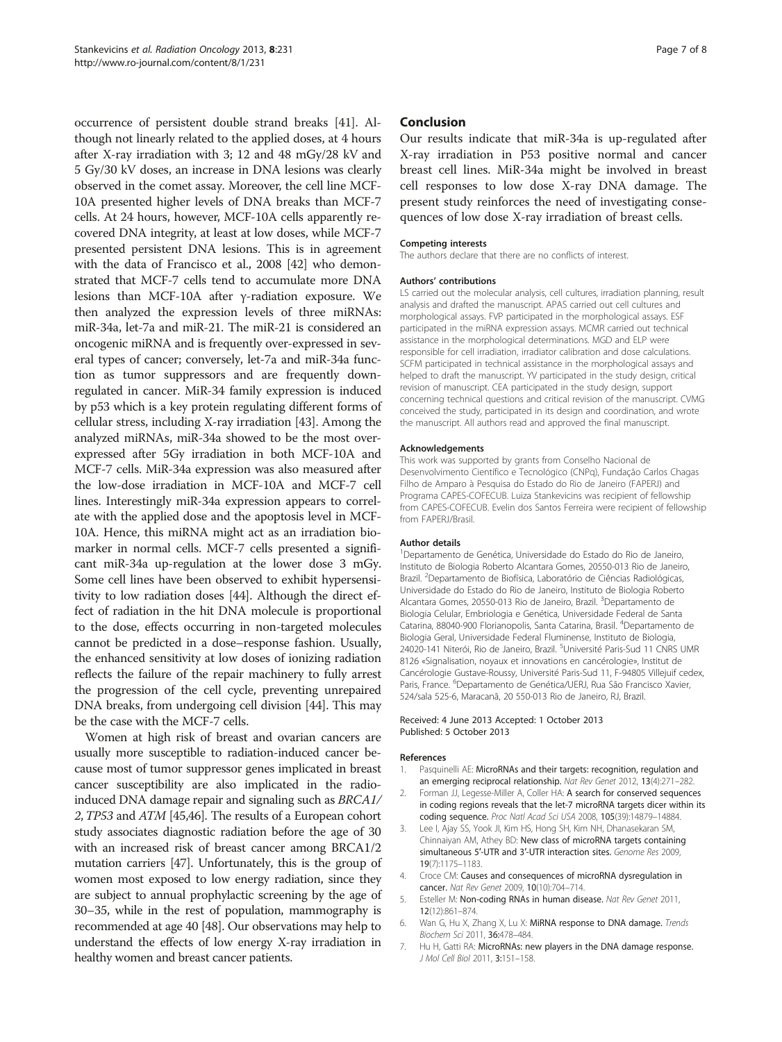<span id="page-6-0"></span>occurrence of persistent double strand breaks [\[41\]](#page-7-0). Although not linearly related to the applied doses, at 4 hours after X-ray irradiation with 3; 12 and 48 mGy/28 kV and 5 Gy/30 kV doses, an increase in DNA lesions was clearly observed in the comet assay. Moreover, the cell line MCF-10A presented higher levels of DNA breaks than MCF-7 cells. At 24 hours, however, MCF-10A cells apparently recovered DNA integrity, at least at low doses, while MCF-7 presented persistent DNA lesions. This is in agreement with the data of Francisco et al., 2008 [[42](#page-7-0)] who demonstrated that MCF-7 cells tend to accumulate more DNA lesions than MCF-10A after γ-radiation exposure. We then analyzed the expression levels of three miRNAs: miR-34a, let-7a and miR-21. The miR-21 is considered an oncogenic miRNA and is frequently over-expressed in several types of cancer; conversely, let-7a and miR-34a function as tumor suppressors and are frequently downregulated in cancer. MiR-34 family expression is induced by p53 which is a key protein regulating different forms of cellular stress, including X-ray irradiation [[43](#page-7-0)]. Among the analyzed miRNAs, miR-34a showed to be the most overexpressed after 5Gy irradiation in both MCF-10A and MCF-7 cells. MiR-34a expression was also measured after the low-dose irradiation in MCF-10A and MCF-7 cell lines. Interestingly miR-34a expression appears to correlate with the applied dose and the apoptosis level in MCF-10A. Hence, this miRNA might act as an irradiation biomarker in normal cells. MCF-7 cells presented a significant miR-34a up-regulation at the lower dose 3 mGy. Some cell lines have been observed to exhibit hypersensitivity to low radiation doses [\[44](#page-7-0)]. Although the direct effect of radiation in the hit DNA molecule is proportional to the dose, effects occurring in non-targeted molecules cannot be predicted in a dose–response fashion. Usually, the enhanced sensitivity at low doses of ionizing radiation reflects the failure of the repair machinery to fully arrest the progression of the cell cycle, preventing unrepaired DNA breaks, from undergoing cell division [[44](#page-7-0)]. This may be the case with the MCF-7 cells.

Women at high risk of breast and ovarian cancers are usually more susceptible to radiation-induced cancer because most of tumor suppressor genes implicated in breast cancer susceptibility are also implicated in the radioinduced DNA damage repair and signaling such as BRCA1/ 2, TP53 and ATM [\[45,46\]](#page-7-0). The results of a European cohort study associates diagnostic radiation before the age of 30 with an increased risk of breast cancer among BRCA1/2 mutation carriers [[47](#page-7-0)]. Unfortunately, this is the group of women most exposed to low energy radiation, since they are subject to annual prophylactic screening by the age of 30–35, while in the rest of population, mammography is recommended at age 40 [\[48\]](#page-7-0). Our observations may help to understand the effects of low energy X-ray irradiation in healthy women and breast cancer patients.

# Conclusion

Our results indicate that miR-34a is up-regulated after X-ray irradiation in P53 positive normal and cancer breast cell lines. MiR-34a might be involved in breast cell responses to low dose X-ray DNA damage. The present study reinforces the need of investigating consequences of low dose X-ray irradiation of breast cells.

#### Competing interests

The authors declare that there are no conflicts of interest.

#### Authors' contributions

LS carried out the molecular analysis, cell cultures, irradiation planning, result analysis and drafted the manuscript. APAS carried out cell cultures and morphological assays. FVP participated in the morphological assays. ESF participated in the miRNA expression assays. MCMR carried out technical assistance in the morphological determinations. MGD and ELP were responsible for cell irradiation, irradiator calibration and dose calculations. SCFM participated in technical assistance in the morphological assays and helped to draft the manuscript. YV participated in the study design, critical revision of manuscript. CEA participated in the study design, support concerning technical questions and critical revision of the manuscript. CVMG conceived the study, participated in its design and coordination, and wrote the manuscript. All authors read and approved the final manuscript.

#### Acknowledgements

This work was supported by grants from Conselho Nacional de Desenvolvimento Científico e Tecnológico (CNPq), Fundação Carlos Chagas Filho de Amparo à Pesquisa do Estado do Rio de Janeiro (FAPERJ) and Programa CAPES-COFECUB. Luiza Stankevicins was recipient of fellowship from CAPES-COFECUB. Evelin dos Santos Ferreira were recipient of fellowship from FAPERJ/Brasil.

#### Author details

1 Departamento de Genética, Universidade do Estado do Rio de Janeiro, Instituto de Biologia Roberto Alcantara Gomes, 20550-013 Rio de Janeiro, Brazil. <sup>2</sup> Departamento de Biofísica, Laboratório de Ciências Radiológicas, Universidade do Estado do Rio de Janeiro, Instituto de Biologia Roberto Alcantara Gomes, 20550-013 Rio de Janeiro, Brazil. <sup>3</sup>Departamento de Biologia Celular, Embriologia e Genética, Universidade Federal de Santa Catarina, 88040-900 Florianopolis, Santa Catarina, Brasil. <sup>4</sup>Departamento de Biologia Geral, Universidade Federal Fluminense, Instituto de Biologia, 24020-141 Niterói, Rio de Janeiro, Brazil. <sup>5</sup>Université Paris-Sud 11 CNRS UMF 8126 «Signalisation, noyaux et innovations en cancérologie», Institut de Cancérologie Gustave-Roussy, Université Paris-Sud 11, F-94805 Villejuif cedex, Paris, France. <sup>6</sup>Departamento de Genética/UERJ, Rua São Francisco Xavier, 524/sala 525-6, Maracanã, 20 550-013 Rio de Janeiro, RJ, Brazil.

#### Received: 4 June 2013 Accepted: 1 October 2013 Published: 5 October 2013

#### References

- 1. Pasquinelli AE: MicroRNAs and their targets: recognition, regulation and an emerging reciprocal relationship. Nat Rev Genet 2012, 13(4):271–282.
- 2. Forman JJ, Legesse-Miller A, Coller HA: A search for conserved sequences in coding regions reveals that the let-7 microRNA targets dicer within its coding sequence. Proc Natl Acad Sci USA 2008, 105(39):14879–14884.
- 3. Lee I, Ajay SS, Yook JI, Kim HS, Hong SH, Kim NH, Dhanasekaran SM, Chinnaiyan AM, Athey BD: New class of microRNA targets containing simultaneous 5′-UTR and 3′-UTR interaction sites. Genome Res 2009, 19(7):1175–1183.
- 4. Croce CM: Causes and consequences of microRNA dysregulation in cancer. Nat Rev Genet 2009, 10(10):704–714.
- 5. Esteller M: Non-coding RNAs in human disease. Nat Rev Genet 2011, 12(12):861–874.
- 6. Wan G, Hu X, Zhang X, Lu X: MiRNA response to DNA damage. Trends Biochem Sci 2011, 36:478–484.
- 7. Hu H, Gatti RA: MicroRNAs: new players in the DNA damage response. J Mol Cell Biol 2011, 3:151–158.